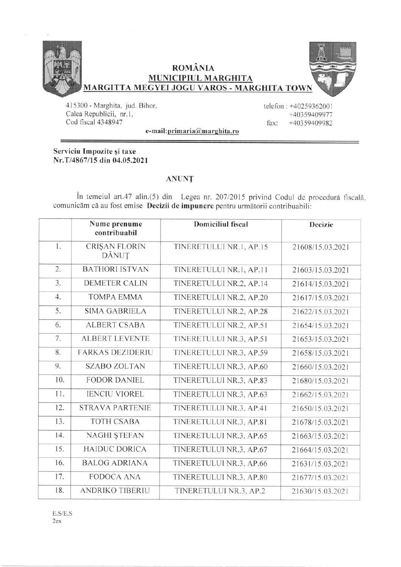

**ROMÂNIA** MUNICIPIUL MARGHITA MARGITTA MEGYEI JOGU VAROS - MARGHITA TOWN



415300 - Marghita. jud. Bihor, Calea Republicii, nr.1, Cod fiscal 4348947

telefon : +40259362001 +4035940997'7 fax: +40359409982

e-mail: primaria@marghita.ro

Serviciu Impozite și taxe Nr.T/4867/15 din 04.05.2021

## ANUNT

În temeiul art.47 alin.(5) din Legea nr. 207/2015 privind Codul de procedură fiscală. comunicăm că au fost emise Decizii de impunere pentru următorii contribuabili:

|     | Nume prenume<br>contribuabil | <b>Domiciliul</b> fiscal | <b>Decizie</b>   |
|-----|------------------------------|--------------------------|------------------|
| 1.  | CRIŞAN FLORIN<br>DĂNUȚ       | TINERETULUI NR.1, AP.15  | 21608/15.03.2021 |
| 2.  | <b>BATHORI ISTVAN</b>        | TINERETULUI NR.1, AP.11  | 21603/15.03.2021 |
| 3.  | <b>DEMETER CALIN</b>         | TINERETULUI NR.2, AP.14  | 21614/15.03.2021 |
| 4.  | <b>TOMPA EMMA</b>            | TINERETULUI NR.2, AP.20  | 21617/15.03.2021 |
| 5.  | <b>SIMA GABRIELA</b>         | TINERETULUI NR.2, AP.28  | 21622/15.03.2021 |
| 6.  | <b>ALBERT CSABA</b>          | TINERETULUI NR.2, AP.51  | 21654/15.03.2021 |
| 7.  | <b>ALBERT LEVENTE</b>        | TINERETULUI NR.3, AP.51  | 21653/15.03.2021 |
| 8.  | <b>FARKAS DEZIDERIU</b>      | TINERETULUI NR.3, AP.59  | 21658/15.03.2021 |
| 9.  | <b>SZABO ZOLTAN</b>          | TINERETULUI NR.3, AP.60  | 21660/15.03.2021 |
| 10. | <b>FODOR DANIEL</b>          | TINERETULUI NR.3, AP.83  | 21680/15.03.2021 |
| 11. | <b>IENCIU VIOREL</b>         | TINERETULUI NR.3, AP.63  | 21662/15.03.2021 |
| 12. | <b>STRAVA PARTENIE</b>       | TINERETULUI NR.3, AP.41  | 21650/15.03.2021 |
| 13. | <b>TOTH CSABA</b>            | TINERETULUI NR.3, AP.81  | 21678/15.03.2021 |
| 14. | <b>NAGHI ŞTEFAN</b>          | TINERETULUI NR.3, AP.65  | 21663/15.03.2021 |
| 15. | <b>HAIDUC DORICA</b>         | TINERETULUI NR.3, AP.67  | 21664/15.03.2021 |
| 16. | <b>BALOG ADRIANA</b>         | TINERETULUI NR.3, AP.66  | 21631/15.03.2021 |
| 17. | <b>FODOCA ANA</b>            | TINERETULUI NR.3, AP.80  | 21677/15.03.2021 |
| 18. | <b>ANDRIKO TIBERIU</b>       | TINERETULUI NR.3, AP.2   | 21630/15.03.2021 |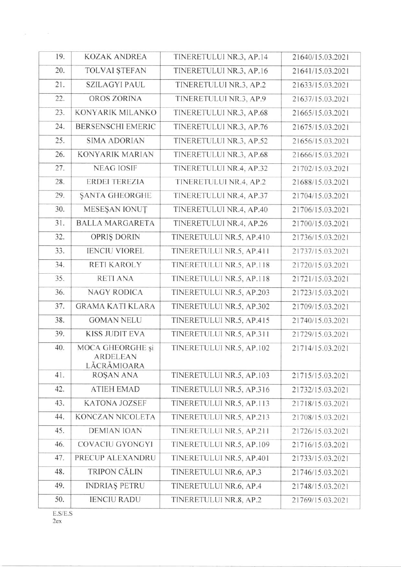| 19. | <b>KOZAK ANDREA</b>            | TINERETULUI NR.3, AP.14  | 21640/15.03.2021 |
|-----|--------------------------------|--------------------------|------------------|
| 20. | <b>TOLVAI ȘTEFAN</b>           | TINERETULUI NR.3, AP.16  | 21641/15.03.2021 |
| 21. | <b>SZILAGYI PAUL</b>           | TINERETULUI NR.3, AP.2   | 21633/15.03.2021 |
| 22. | OROS ZORINA                    | TINERETULUI NR.3, AP.9   | 21637/15.03.2021 |
| 23. | KONYARIK MILANKO               | TINERETULUI NR.3, AP.68  | 21665/15.03.2021 |
| 24. | <b>BERSENSCHI EMERIC</b>       | TINERETULUI NR.3, AP.76  | 21675/15.03.2021 |
| 25. | <b>SIMA ADORIAN</b>            | TINERETULUI NR.3, AP.52  | 21656/15.03.2021 |
| 26. | <b>KONYARIK MARIAN</b>         | TINERETULUI NR.3, AP.68  | 21666/15.03.2021 |
| 27. | <b>NEAG IOSIF</b>              | TINERETULUI NR.4, AP.32  | 21702/15.03.2021 |
| 28. | <b>ERDEI TEREZIA</b>           | TINERETULUI NR.4, AP.2   | 21688/15.03.2021 |
| 29. | SANTA GHEORGHE                 | TINERETULUI NR.4, AP.37  | 21704/15.03.2021 |
| 30. | MESEŞAN IONUT                  | TINERETULUI NR.4, AP.40  | 21706/15.03.2021 |
| 31. | <b>BALLA MARGARETA</b>         | TINERETULUI NR.4, AP.26  | 21700/15.03.2021 |
| 32. | OPRIS DORIN                    | TINERETULUI NR.5, AP.410 | 21736/15.03.2021 |
| 33. | <b>IENCIU VIOREL</b>           | TINERETULUI NR.5, AP.411 | 21737/15.03.2021 |
| 34. | <b>RETI KAROLY</b>             | TINERETULUI NR.5, AP.118 | 21720/15.03.2021 |
| 35. | <b>RETI ANA</b>                | TINERETULUI NR.5, AP.118 | 21721/15.03.2021 |
| 36. | <b>NAGY RODICA</b>             | TINERETULUI NR.5, AP.203 | 21723/15.03.2021 |
| 37. | <b>GRAMA KATI KLARA</b>        | TINERETULUI NR.5, AP.302 | 21709/15.03.2021 |
| 38. | <b>GOMAN NELU</b>              | TINERETULUI NR.5, AP.415 | 21740/15.03.2021 |
| 39. | <b>KISS JUDIT EVA</b>          | TINERETULUI NR.5, AP.311 | 21729/15.03.2021 |
| 40. | MOCA GHEORGHE și               | TINERETULUI NR.5, AP.102 | 21714/15.03.2021 |
|     | <b>ARDELEAN</b><br>LĂCRĂMIOARA |                          |                  |
| 41. | <b>ROŞAN ANA</b>               | TINERETULUI NR.5, AP.103 | 21715/15.03.2021 |
| 42. | <b>ATIEH EMAD</b>              | TINERETULUI NR.5, AP.316 | 21732/15.03.2021 |
| 43. | <b>KATONA JOZSEF</b>           | TINERETULUI NR.5, AP.113 | 21718/15.03.2021 |
| 44. | KONCZAN NICOLETA               | TINERETULUI NR.5, AP.213 | 21708/15.03.2021 |
| 45. | <b>DEMIAN IOAN</b>             | TINERETULUI NR.5, AP.211 | 21726/15.03.2021 |
| 46. | COVACIU GYONGYI                | TINERETULUI NR.5, AP.109 | 21716/15.03.2021 |
| 47. | PRECUP ALEXANDRU               | TINERETULUI NR.5, AP.401 | 21733/15.03.2021 |
| 48. | <b>TRIPON CĂLIN</b>            | TINERETULUI NR.6, AP.3   | 21746/15.03.2021 |
| 49. | <b>INDRIAS PETRU</b>           | TINERETULUI NR.6, AP.4   | 21748/15.03.2021 |
| 50. | <b>IENCIU RADU</b>             | TINERETULUI NR.8, AP.2   | 21769/15.03.2021 |
|     |                                |                          |                  |

 $E.S/E.S$  $2ex$ 

 $\sim 10$